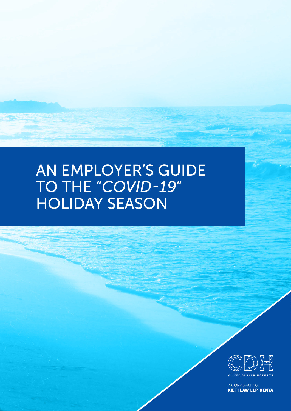# AN EMPLOYER'S GUIDE TO THE "*COVID-19*" HOLIDAY SEASON



**INCORPORATING KIETI LAW LLP, KENYA**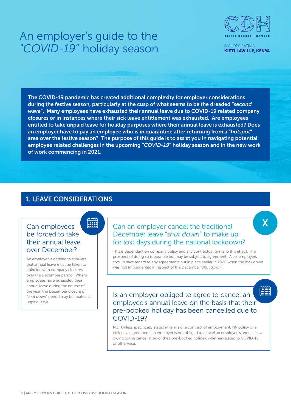

**INCORPORATING KIETI LAW LLP, KENYA** 

X

The COVID-19 pandemic has created additional complexity for employer considerations during the festive season, particularly at the cusp of what seems to be the dreaded "*second wave*". Many employees have exhausted their annual leave due to COVID-19 related company closures or in instances where their sick leave entitlement was exhausted. Are employees entitled to take unpaid leave for holiday purposes where their annual leave is exhausted? Does an employer have to pay an employee who is in quarantine after returning from a "*hotspot*" area over the festive season? The purpose of this guide is to assist you in navigating potential employee related challenges in the upcoming "*COVID-19*" holiday season and in the new work of work commencing in 2021.

### 1. LEAVE CONSIDERATIONS

**EXECUTE** 

### Can employees be forced to take their annual leave over December?

An employer is entitled to stipulate that annual leave must be taken to coincide with company closures over the December period. Where employees have exhausted their annual leave during the course of the year, the December closure or "*shut down*" period may be treated as unpaid leave.

### Can an employer cancel the traditional December leave "*shut down*" to make up for lost days during the national lockdown?

This is dependant on company policy and any contractual terms to this effect. The prospect of doing so is possible but may be subject to agreement. Also, employers should have regard to any agreements put in place earlier in 2020 when the lock down was first implemented in respect of the December "*shut down*".

**MAN** Is an employer obliged to agree to cancel an employee's annual leave on the basis that their pre-booked holiday has been cancelled due to COVID-19?

No. Unless specifically stated in terms of a contract of employment, HR policy or a collective agreement, an employer is not obliged to cancel an employee's annual leave owing to the cancellation of their pre-booked holiday, whether related to COVID-19 or otherwise.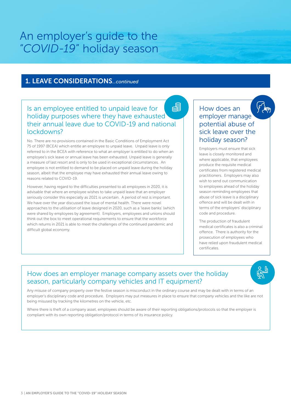### 1. LEAVE CONSIDERATIONS*...continued*

### 胃 Is an employee entitled to unpaid leave for holiday purposes where they have exhausted their annual leave due to COVID-19 and national lockdowns?

No. There are no provisions contained in the Basic Conditions of Employment Act 75 of 1997 (BCEA) which entitle an employee to unpaid leave. Unpaid leave is only referred to in the BCEA with reference to what an employer is entitled to do when an employee's sick leave or annual leave has been exhausted. Unpaid leave is generally a measure of last resort and is only to be used in exceptional circumstances. An employee is not entitled to demand to be placed on unpaid leave during the holiday season, albeit that the employee may have exhausted their annual leave owing to reasons related to COVID-19.

However, having regard to the difficulties presented to all employees in 2020, it is advisable that where an employee wishes to take unpaid leave that an employer seriously consider this especially as 2021 is uncertain. A period of rest is important. We have over the year discussed the issue of mental health. There were novel approaches to the utilisation of leave designed in 2020, such as a 'leave banks' (which were shared by employees by agreement). Employers, employees and unions should think out the box to meet operational requirements to ensure that the workforce which returns in 2021 is able to meet the challenges of the continued pandemic and difficult global economy.

### How does an employer manage potential abuse of sick leave over the holiday season?

Employers must ensure that sick leave is closely monitored and where applicable, that employees produce the requisite medical certificates from registered medical practitioners. Employers may also wish to send out communication to employees ahead of the holiday season reminding employees that abuse of sick leave is a disciplinary offence and will be dealt with in terms of the employers' disciplinary code and procedure.

The production of fraudulent medical certificates is also a criminal offence. There is authority for the prosecution of employees who have relied upon fraudulent medical certificates.

### How does an employer manage company assets over the holiday season, particularly company vehicles and IT equipment?

Any misuse of company property over the festive season is misconduct in the ordinary course and may be dealt with in terms of an employer's disciplinary code and procedure. Employers may put measures in place to ensure that company vehicles and the like are not being misused by tracking the kilometres on the vehicle, etc.

Where there is theft of a company asset, employees should be aware of their reporting obligations/protocols so that the employer is compliant with its own reporting obligation/protocol in terms of its insurance policy.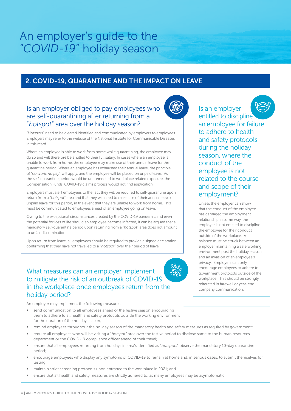### 2. COVID-19, QUARANTINE AND THE IMPACT ON LEAVE

### Is an employer obliged to pay employees who are self-quarantining after returning from a "*hotspot*" area over the holiday season?



Where an employee is able to work from home while quarantining, the employee may do so and will therefore be entitled to their full salary. In cases where an employee is unable to work from home, the employee may make use of their annual leave for the quarantine period. Where an employee has exhausted their annual leave, the principle of "*no work, no pay*" will apply, and the employee will be placed on unpaid leave. As the self-quarantine period would be unconnected to workplace related exposure, the Compensation Funds' COVID-19 claims process would not find application.

Employers must alert employees to the fact they will be required to self-quarantine upon return from a "*hotspot*" area and that they will need to make use of their annual leave or unpaid leave for this period, in the event that they are unable to work from home. This must be communicated to employees ahead of an employee going on leave.

Owing to the exceptional circumstances created by the COVID-19 pandemic and even the potential for loss of life should an employee become infected, it can be argued that a mandatory self-quarantine period upon returning from a "*hotspot*" area does not amount to unfair discrimination.

Upon return from leave, all employees should be required to provide a signed declaration confirming that they have not travelled to a "*hotspot*" over their period of leave.

### What measures can an employer implement to mitigate the risk of an outbreak of COVID-19 in the workplace once employees return from the holiday period?

An employer may implement the following measures:

- send communication to all employees ahead of the festive season encouraging them to adhere to all health and safety protocols outside the working environment for the duration of the holiday season;
- remind employees throughout the holiday season of the mandatory health and safety measures as required by government;
- ∞ require all employees who will be visiting a "*hotspot*" area over the festive period to disclose same to the human resources department or the COVID-19 compliance officer ahead of their travel;
- ∞ ensure that all employees returning from holidays in area's identified as "*hotspots*" observe the mandatory 10-day quarantine period;
- encourage employees who display any symptoms of COVID-19 to remain at home and, in serious cases, to submit themselves for testing;
- maintain strict screening protocols upon entrance to the workplace in 2021; and
- ensure that all health and safety measures are strictly adhered to, as many employees may be asymptomatic.



Is an employer entitled to discipline an employee for failure to adhere to health and safety protocols during the holiday season, where the conduct of the employee is not related to the course and scope of their employment?

Unless the employer can show that the conduct of the employee has damaged the employment relationship in some way, the employer is not entitled to discipline the employee for their conduct outside of the workplace. A balance must be struck between an employer maintaining a safe working environment post the holiday season and an invasion of an employee's privacy. Employers can only encourage employees to adhere to government protocols outside of the workplace. This should be strongly reiterated in farewell or year-end company communication.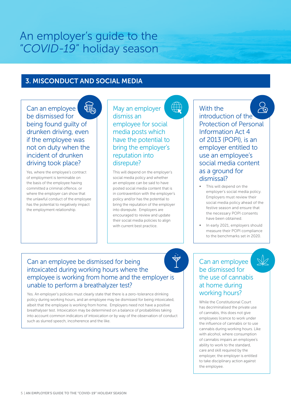### 3. MISCONDUCT AND SOCIAL MEDIA

Can an employee be dismissed for being found guilty of drunken driving, even if the employee was not on duty when the incident of drunken driving took place?

Yes, where the employee's contract of employment is terminable on the basis of the employee having committed a criminal offence, or where the employer can show that the unlawful conduct of the employee has the potential to negatively impact the employment relationship.

May an employer dismiss an employee for social media posts which have the potential to bring the employer's reputation into disrepute?

This will depend on the employer's social media policy and whether an employee can be said to have posted social media content that is in contravention with the employer's policy and/or has the potential to bring the reputation of the employer into disrepute. Employers are encouraged to review and update their social media policies to align with current best practice.

With the

introduction of the Protection of Personal Information Act 4 of 2013 (POPI), is an employer entitled to use an employee's social media content as a ground for dismissal?

- This will depend on the employer's social media policy. Employers must review their social media policy ahead of the festive season and ensure that the necessary POPI consents have been obtained.
- ∞ In early 2021, employers should measure their POPI compliance to the benchmarks set in 2020.

### Can an employee be dismissed for being intoxicated during working hours where the employee is working from home and the employer is unable to perform a breathalyzer test?

Yes. An employer's policies must clearly state that there is a zero-tolerance drinking policy during working hours, and an employee may be dismissed for being intoxicated, albeit that the employee is working from home. Employers need not have a positive breathalyser test. Intoxication may be determined on a balance of probabilities taking into account common indicators of intoxication or by way of the observation of conduct such as slurred speech, incoherence and the like.

### Can an employee be dismissed for the use of cannabis at home during working hours?

While the Constitutional Court has decriminalised the private use of cannabis, this does not give employees licence to work under the influence of cannabis or to use cannabis during working hours. Like with alcohol, where consumption of cannabis impairs an employee's ability to work to the standard, care and skill required by the employer, the employer is entitled to take disciplinary action against the employee.

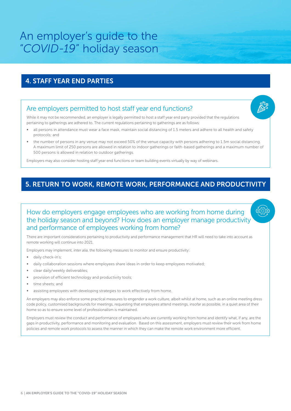### 4. STAFF YEAR END PARTIES

### Are employers permitted to host staff year end functions?

While it may not be recommended, an employer is legally permitted to host a staff year end party provided that the regulations pertaining to gatherings are adhered to. The current regulations pertaining to gatherings are as follows:

- all persons in attendance must wear a face mask, maintain social distancing of 1.5 meters and adhere to all health and safety protocols; and
- the number of persons in any venue may not exceed 50% of the venue capacity with persons adhering to 1.5m social distancing. A maximum limit of 250 persons are allowed in relation to indoor gatherings or faith-based gatherings and a maximum number of 500 persons is allowed in relation to outdoor gatherings.

Employers may also consider hosting staff year end functions or team building events virtually by way of webinars.

### 5. RETURN TO WORK, REMOTE WORK, PERFORMANCE AND PRODUCTIVITY

### How do employers engage employees who are working from home during the holiday season and beyond? How does an employer manage productivity and performance of employees working from home?

There are important considerations pertaining to productivity and performance management that HR will need to take into account as remote working will continue into 2021.

Employers may implement, *inter alia*, the following measures to monitor and ensure productivity:

- daily check-in's:
- daily collaboration sessions where employees share ideas in order to keep employees motivated;
- clear daily/weekly deliverables;
- provision of efficient technology and productivity tools;
- time sheets; and
- assisting employees with developing strategies to work effectively from home.

An employers may also enforce some practical measures to engender a work culture, albeit whilst at home, such as an online meeting dress code policy, customised backgrounds for meetings, requesting that employees attend meetings, insofar as possible, in a quiet area of their home so as to ensure some level of professionalism is maintained.

Employers must review the conduct and performance of employees who are currently working from home and identify what, if any, are the gaps in productivity, performance and monitoring and evaluation. Based on this assessment, employers must review their work from home policies and remote work protocols to assess the manner in which they can make the remote work environment more efficient.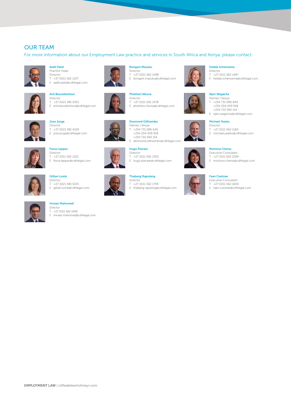### OUR TEAM

For more information about our Employment Law practice and services in South Africa and Kenya, please contact:



#### Aadil Patel Practice Head Director T +27 (0)11 562 1107 E aadil.patel@cdhlegal.com



### Anli Bezuidenhout Director

T +27 (0)21 481 6351 E anli.bezuidenhout@cdhlegal.com



Jose Jorge Director T +27 (0)21 481 6319 E jose.jorge@cdhlegal.com



Fiona Leppan Director  $T$  +27 (0)11 562 1152 E fiona.leppan@cdhlegal.com



#### Gillian Lumb Director

T +27 (0)21 481 6315 E gillian.lumb@cdhlegal.com



T +27 (0)11 562 1459 E imraan.mahomed@cdhlegal.com



#### Bongani Masuku Director

T +27 (0)11 562 1498 E bongani.masuku@cdhlegal.com







Hugo Pienaar Director

Desmond Odhiambo Partner | Kenya T +254 731 086 649 +254 204 409 918 +254 710 560 114

T +27 (0)11 562 1350 E hugo.pienaar@cdhlegal.com

E desmond.odhiambo@cdhlegal.com

### Thabang Rapuleng

 $T +27 (0)11 562 1759$ <br>F thabang rapuleng@ E thabang.rapuleng@cdhlegal.com





#### T +27 (0)11 562 1487

E hedda.schensema@cdhlegal.com



Njeri Wagacha Partner | Kenya

- T +254 731 086 649 +254 204 409 918 +254 710 560 114
- E njeri.wagacha@cdhlegal.com

#### Michael Yeates

- Director T +27 (0)11 562 1184
- E michael.yeates@cdhlegal.com
- 



#### Mohsina Chenia Executive Consultant

- T +27 (0)11 562 1299
- E mohsina.chenia@cdhlegal.com

#### Faan Coetzee



- T +27 (0)11 562 1600
- E faan.coetzee@cdhlegal.com